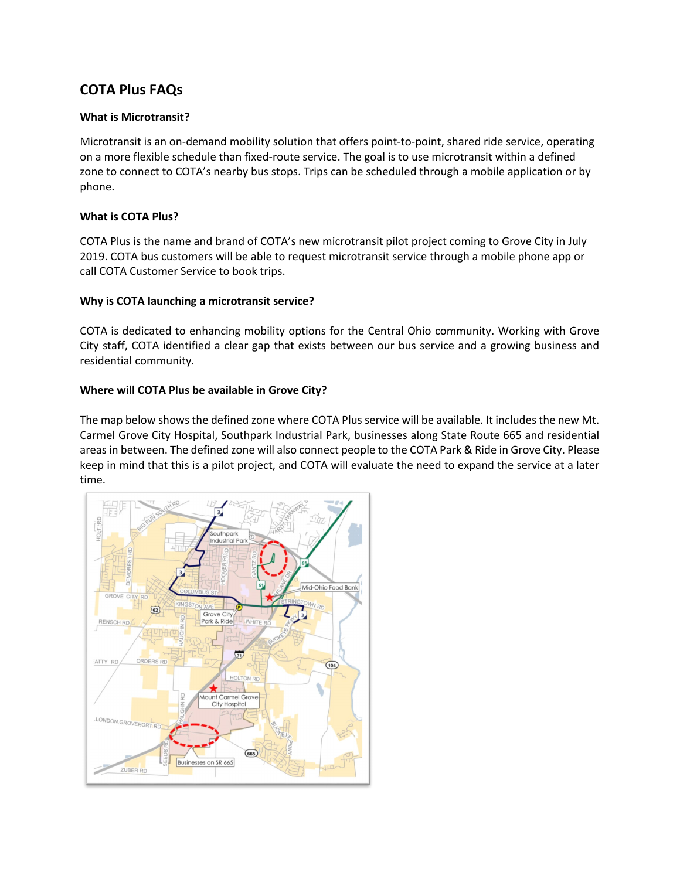# **COTA Plus FAQs**

# **What is Microtransit?**

Microtransit is an on-demand mobility solution that offers point-to-point, shared ride service, operating on a more flexible schedule than fixed-route service. The goal is to use microtransit within a defined zone to connect to COTA's nearby bus stops. Trips can be scheduled through a mobile application or by phone.

# **What is COTA Plus?**

COTA Plus is the name and brand of COTA's new microtransit pilot project coming to Grove City in July 2019. COTA bus customers will be able to request microtransit service through a mobile phone app or call COTA Customer Service to book trips.

# **Why is COTA launching a microtransit service?**

COTA is dedicated to enhancing mobility options for the Central Ohio community. Working with Grove City staff, COTA identified a clear gap that exists between our bus service and a growing business and residential community.

# **Where will COTA Plus be available in Grove City?**

The map below shows the defined zone where COTA Plus service will be available. It includes the new Mt. Carmel Grove City Hospital, Southpark Industrial Park, businesses along State Route 665 and residential areas in between. The defined zone will also connect people to the COTA Park & Ride in Grove City. Please keep in mind that this is a pilot project, and COTA will evaluate the need to expand the service at a later time.

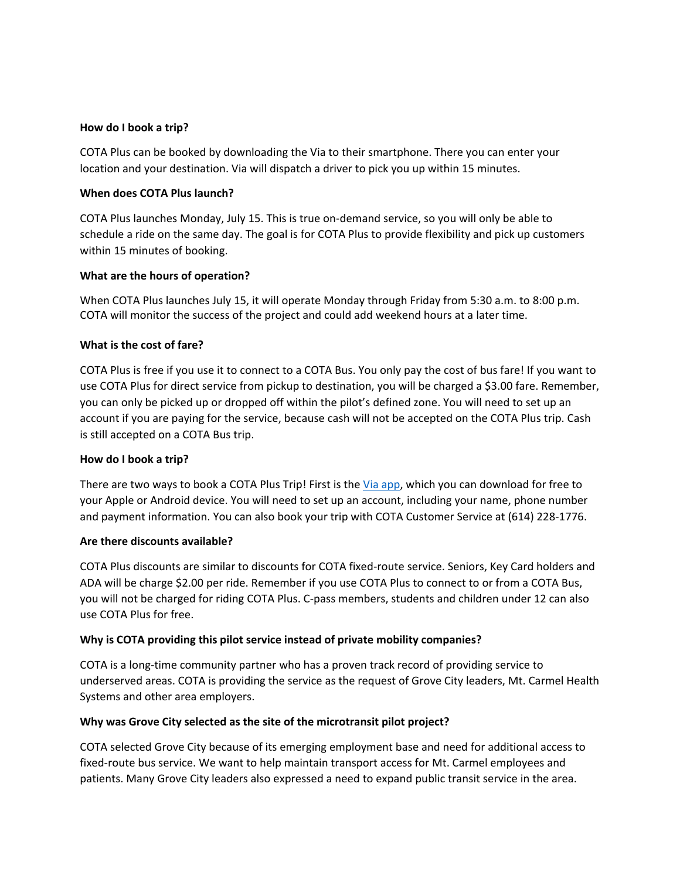## **How do I book a trip?**

COTA Plus can be booked by downloading the Via to their smartphone. There you can enter your location and your destination. Via will dispatch a driver to pick you up within 15 minutes.

## **When does COTA Plus launch?**

COTA Plus launches Monday, July 15. This is true on-demand service, so you will only be able to schedule a ride on the same day. The goal is for COTA Plus to provide flexibility and pick up customers within 15 minutes of booking.

#### **What are the hours of operation?**

When COTA Plus launches July 15, it will operate Monday through Friday from 5:30 a.m. to 8:00 p.m. COTA will monitor the success of the project and could add weekend hours at a later time.

#### **What is the cost of fare?**

COTA Plus is free if you use it to connect to a COTA Bus. You only pay the cost of bus fare! If you want to use COTA Plus for direct service from pickup to destination, you will be charged a \$3.00 fare. Remember, you can only be picked up or dropped off within the pilot's defined zone. You will need to set up an account if you are paying for the service, because cash will not be accepted on the COTA Plus trip. Cash is still accepted on a COTA Bus trip.

#### **How do I book a trip?**

There are two ways to book a COTA Plus Trip! First is the [Via app,](https://ridewithvia.com/) which you can download for free to your Apple or Android device. You will need to set up an account, including your name, phone number and payment information. You can also book your trip with COTA Customer Service at (614) 228-1776.

#### **Are there discounts available?**

COTA Plus discounts are similar to discounts for COTA fixed-route service. Seniors, Key Card holders and ADA will be charge \$2.00 per ride. Remember if you use COTA Plus to connect to or from a COTA Bus, you will not be charged for riding COTA Plus. C-pass members, students and children under 12 can also use COTA Plus for free.

# **Why is COTA providing this pilot service instead of private mobility companies?**

COTA is a long-time community partner who has a proven track record of providing service to underserved areas. COTA is providing the service as the request of Grove City leaders, Mt. Carmel Health Systems and other area employers.

# **Why was Grove City selected as the site of the microtransit pilot project?**

COTA selected Grove City because of its emerging employment base and need for additional access to fixed-route bus service. We want to help maintain transport access for Mt. Carmel employees and patients. Many Grove City leaders also expressed a need to expand public transit service in the area.